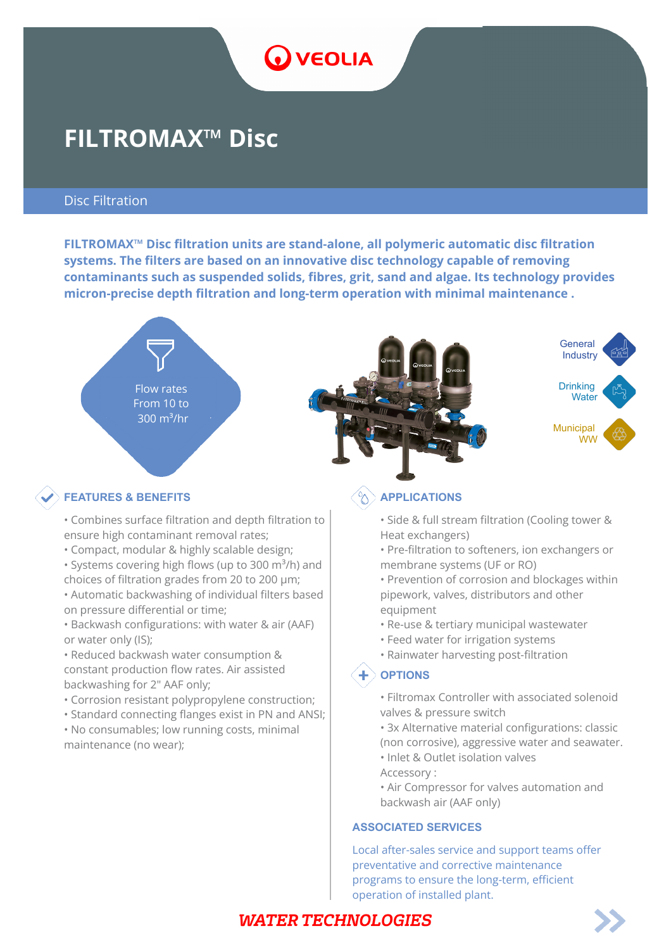

# **FILTROMAX™ Disc**

#### Disc Filtration

**FILTROMAX™ Disc filtration units are stand-alone, all polymeric automatic disc filtration systems. The filters are based on an innovative disc technology capable of removing contaminants such as suspended solids, fibres, grit, sand and algae. Its technology provides micron-precise depth filtration and long-term operation with minimal maintenance .**



#### **FEATURES & BENEFITS**  $\left(\begin{matrix} \wedge \\ \wedge \end{matrix}\right)$  applications

- Combines surface filtration and depth filtration to ensure high contaminant removal rates;
- Compact, modular & highly scalable design;
- Systems covering high flows (up to 300  $m^3/h$ ) and choices of filtration grades from 20 to 200 μm;
- Automatic backwashing of individual filters based on pressure differential or time;
- Backwash configurations: with water & air (AAF) or water only (IS);
- Reduced backwash water consumption & constant production flow rates. Air assisted backwashing for 2" AAF only;
- Corrosion resistant polypropylene construction;
- Standard connecting flanges exist in PN and ANSI;
- No consumables; low running costs, minimal maintenance (no wear);

- Side & full stream filtration (Cooling tower & Heat exchangers)
- Pre-filtration to softeners, ion exchangers or membrane systems (UF or RO)
- Prevention of corrosion and blockages within pipework, valves, distributors and other equipment
- Re-use & tertiary municipal wastewater
- Feed water for irrigation systems
- Rainwater harvesting post-filtration

#### $\textbf{+}$  OPTIONS

- Filtromax Controller with associated solenoid valves & pressure switch
- 3x Alternative material configurations: classic (non corrosive), aggressive water and seawater.
- Inlet & Outlet isolation valves
- Accessory :
- Air Compressor for valves automation and backwash air (AAF only)

#### **ASSOCIATED SERVICES**

Local after-sales service and support teams offer preventative and corrective maintenance programs to ensure the long-term, efficient operation of installed plant.

## **WATER TECHNOLOGIES**

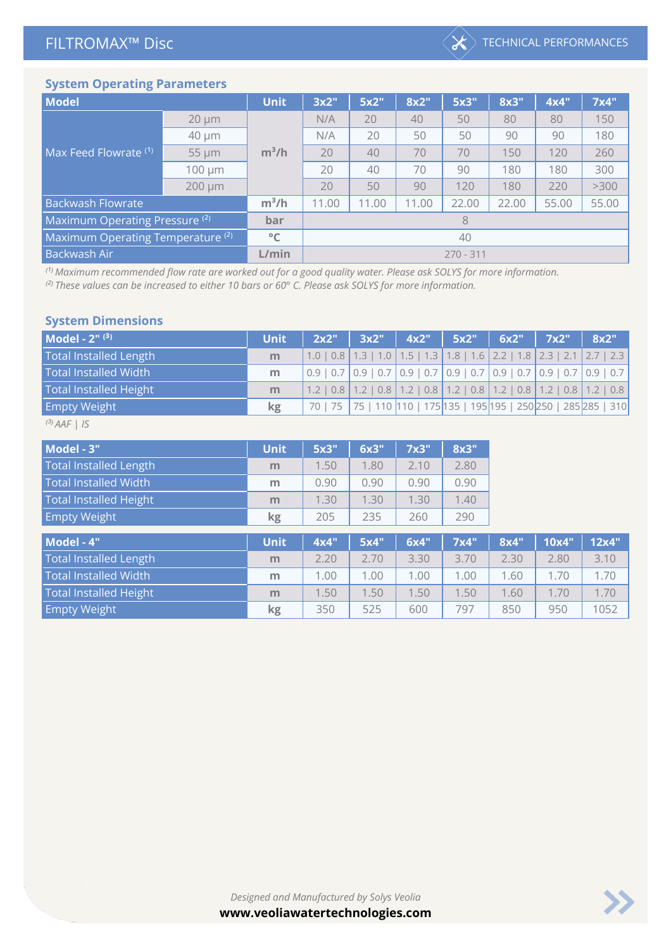

#### **System Operating Parameters**

| <b>Model</b>                                 |             | <b>Unit</b> | 3x2"        | 5x2"  | 8x2"  | 5x3"  | 8x3"  | 4x4"  | 7x4"  |  |  |
|----------------------------------------------|-------------|-------------|-------------|-------|-------|-------|-------|-------|-------|--|--|
|                                              | $20 \mu m$  | $m^3/h$     | N/A         | 20    | 40    | 50    | 80    | 80    | 150   |  |  |
|                                              | 40 µm       |             | N/A         | 20    | 50    | 50    | 90    | 90    | 180   |  |  |
| Max Feed Flowrate (1)                        | 55 µm       |             | 20          | 40    | 70    | 70    | 150   | 120   | 260   |  |  |
|                                              | 100 µm      |             | 20          | 40    | 70    | 90    | 180   | 180   | 300   |  |  |
|                                              | $200 \mu m$ |             | 20          | 50    | 90    | 120   | 180   | 220   | >300  |  |  |
| <b>Backwash Flowrate</b>                     |             | $m^3/h$     | 11.00       | 11.00 | 11.00 | 22.00 | 22.00 | 55.00 | 55.00 |  |  |
| Maximum Operating Pressure <sup>(2)</sup>    | bar         |             |             | 8     |       |       |       |       |       |  |  |
| Maximum Operating Temperature <sup>(2)</sup> |             | °C          | 40          |       |       |       |       |       |       |  |  |
| Backwash Air                                 |             | L/min       | $270 - 311$ |       |       |       |       |       |       |  |  |

<sup>(1)</sup> Maximum recommended flow rate are worked out for a good quality water. Please ask SOLYS for more information.

<sup>(2)</sup> These values can be increased to either 10 bars or 60° C. Please ask SOLYS for more information.

#### **System Dimensions**

| Model - $2^{n(3)}$            | <b>Unit</b> | 2x2"   3x2"   4x2"   5x2"   6x2"   7x2"   8x2" <sup> </sup> |  |  |                                                                                                                                                                         |
|-------------------------------|-------------|-------------------------------------------------------------|--|--|-------------------------------------------------------------------------------------------------------------------------------------------------------------------------|
| <b>Total Installed Length</b> | m           |                                                             |  |  | $1.0$   0.8   1.3   1.0   1.5   1.3   1.8   1.6   2.2   1.8   2.3   2.1   2.7   2.3                                                                                     |
| <b>Total Installed Width</b>  | m           |                                                             |  |  | $\vert 0.9 \vert 0.7 \vert 0.9 \vert 0.7 \vert 0.9 \vert 0.7 \vert 0.9 \vert 0.7 \vert 0.9 \vert 0.7 \vert 0.9 \vert 0.7 \vert 0.9 \vert 0.7 \vert 0.9 \vert 0.7 \vert$ |
| <b>Total Installed Height</b> | m           |                                                             |  |  | $1.2$   0.8   1.2   0.8   1.2   0.8   1.2   0.8   1.2   0.8   1.2   0.8   1.2   0.8                                                                                     |
| <b>Empty Weight</b>           | kg          |                                                             |  |  | 70   75   75   110   110   175   135   195   195   250   250   285   285   310                                                                                          |

*⁽³⁾ AAF | IS*

 $\mathbb{R}^3$ 

| Model - 3"                    | <b>Unit</b> | 5x3" | 6x3" | 7x3" | 8x3" |      |       |       |
|-------------------------------|-------------|------|------|------|------|------|-------|-------|
| <b>Total Installed Length</b> | m           | 1.50 | 1.80 | 2.10 | 2.80 |      |       |       |
| <b>Total Installed Width</b>  | m           | 0.90 | 0.90 | 0.90 | 0.90 |      |       |       |
| <b>Total Installed Height</b> | m           | 1.30 | 1.30 | 1.30 | 1.40 |      |       |       |
| <b>Empty Weight</b>           | kg          | 205  | 235  | 260  | 290  |      |       |       |
| Model - 4"                    | <b>Unit</b> | 4x4" | 5x4" | 6x4" | 7x4" | 8x4" | 10x4" | 12x4" |

| Model - 4"                    | <b>Unit</b> | <b>4X4</b> | - 5X4 I | . 6X4¨ I | $\overline{1}$ $\overline{1}$ $\overline{1}$ $\overline{1}$ $\overline{1}$ $\overline{1}$ $\overline{1}$ $\overline{1}$ $\overline{1}$ $\overline{1}$ $\overline{1}$ $\overline{1}$ $\overline{1}$ $\overline{1}$ $\overline{1}$ $\overline{1}$ $\overline{1}$ $\overline{1}$ $\overline{1}$ $\overline{1}$ $\overline{1}$ $\overline{1}$ $\overline{1}$ $\overline{1}$ $\overline{$ | 8X4 - | ⊟UX4 E | - 12X4 <sup>-</sup> |
|-------------------------------|-------------|------------|---------|----------|--------------------------------------------------------------------------------------------------------------------------------------------------------------------------------------------------------------------------------------------------------------------------------------------------------------------------------------------------------------------------------------|-------|--------|---------------------|
| <b>Total Installed Length</b> | m           | 2.20       | 2.70    | 3.30     | 3.70                                                                                                                                                                                                                                                                                                                                                                                 | 2.30  | 2.80   | 3.10                |
| <b>Total Installed Width</b>  | m           | 1.00       | 1.00    | 1.00     | 1.00                                                                                                                                                                                                                                                                                                                                                                                 | 1.60  | 1.70   | 1.70                |
| Total Installed Height        | m           | 1.50       | 1.50    | 1.50     | 1.50                                                                                                                                                                                                                                                                                                                                                                                 | 1.60  | 1.70   | 1.70                |
| <b>Empty Weight</b>           | kg          | 350        | 525     | 600      | 797                                                                                                                                                                                                                                                                                                                                                                                  | 850   | 950    | 1052                |